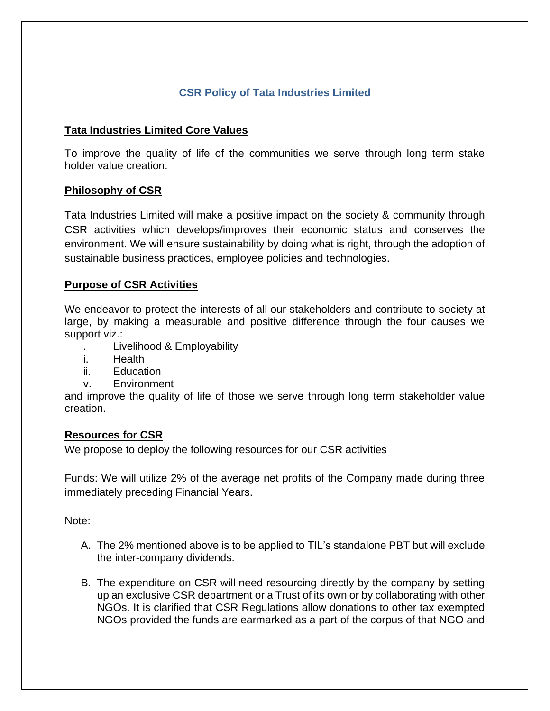# **CSR Policy of Tata Industries Limited**

# **Tata Industries Limited Core Values**

To improve the quality of life of the communities we serve through long term stake holder value creation.

## **Philosophy of CSR**

Tata Industries Limited will make a positive impact on the society & community through CSR activities which develops/improves their economic status and conserves the environment. We will ensure sustainability by doing what is right, through the adoption of sustainable business practices, employee policies and technologies.

# **Purpose of CSR Activities**

We endeavor to protect the interests of all our stakeholders and contribute to society at large, by making a measurable and positive difference through the four causes we support viz.:

- i. Livelihood & Employability
- ii. Health
- iii. Education
- iv. Environment

and improve the quality of life of those we serve through long term stakeholder value creation.

## **Resources for CSR**

We propose to deploy the following resources for our CSR activities

Funds: We will utilize 2% of the average net profits of the Company made during three immediately preceding Financial Years.

## Note:

- A. The 2% mentioned above is to be applied to TIL's standalone PBT but will exclude the inter-company dividends.
- B. The expenditure on CSR will need resourcing directly by the company by setting up an exclusive CSR department or a Trust of its own or by collaborating with other NGOs. It is clarified that CSR Regulations allow donations to other tax exempted NGOs provided the funds are earmarked as a part of the corpus of that NGO and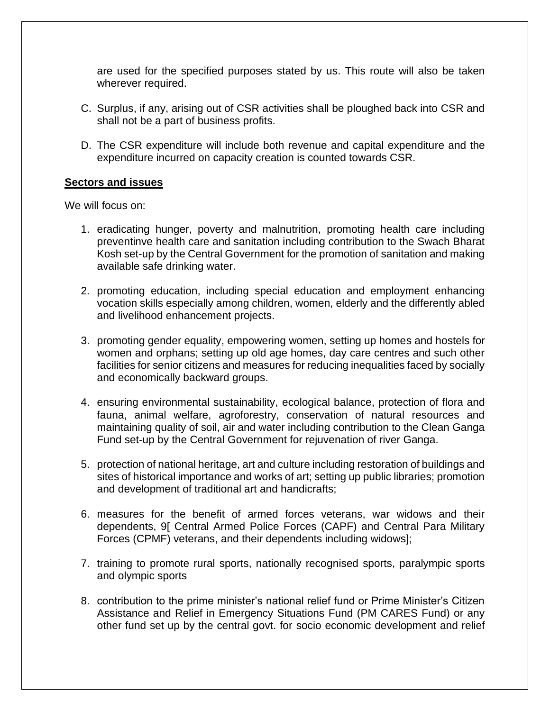are used for the specified purposes stated by us. This route will also be taken wherever required.

- C. Surplus, if any, arising out of CSR activities shall be ploughed back into CSR and shall not be a part of business profits.
- D. The CSR expenditure will include both revenue and capital expenditure and the expenditure incurred on capacity creation is counted towards CSR.

#### **Sectors and issues**

We will focus on:

- 1. eradicating hunger, poverty and malnutrition, promoting health care including preventinve health care and sanitation including contribution to the Swach Bharat Kosh set-up by the Central Government for the promotion of sanitation and making available safe drinking water.
- 2. promoting education, including special education and employment enhancing vocation skills especially among children, women, elderly and the differently abled and livelihood enhancement projects.
- 3. promoting gender equality, empowering women, setting up homes and hostels for women and orphans; setting up old age homes, day care centres and such other facilities for senior citizens and measures for reducing inequalities faced by socially and economically backward groups.
- 4. ensuring environmental sustainability, ecological balance, protection of flora and fauna, animal welfare, agroforestry, conservation of natural resources and maintaining quality of soil, air and water including contribution to the Clean Ganga Fund set-up by the Central Government for rejuvenation of river Ganga.
- 5. protection of national heritage, art and culture including restoration of buildings and sites of historical importance and works of art; setting up public libraries; promotion and development of traditional art and handicrafts;
- 6. measures for the benefit of armed forces veterans, war widows and their dependents, 9[ Central Armed Police Forces (CAPF) and Central Para Military Forces (CPMF) veterans, and their dependents including widows];
- 7. training to promote rural sports, nationally recognised sports, paralympic sports and olympic sports
- 8. contribution to the prime minister's national relief fund or Prime Minister's Citizen Assistance and Relief in Emergency Situations Fund (PM CARES Fund) or any other fund set up by the central govt. for socio economic development and relief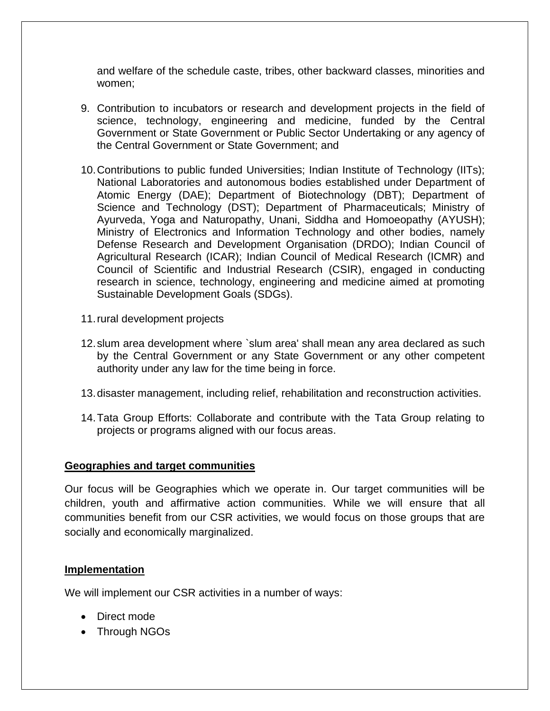and welfare of the schedule caste, tribes, other backward classes, minorities and women;

- 9. Contribution to incubators or research and development projects in the field of science, technology, engineering and medicine, funded by the Central Government or State Government or Public Sector Undertaking or any agency of the Central Government or State Government; and
- 10.Contributions to public funded Universities; Indian Institute of Technology (IITs); National Laboratories and autonomous bodies established under Department of Atomic Energy (DAE); Department of Biotechnology (DBT); Department of Science and Technology (DST); Department of Pharmaceuticals; Ministry of Ayurveda, Yoga and Naturopathy, Unani, Siddha and Homoeopathy (AYUSH); Ministry of Electronics and Information Technology and other bodies, namely Defense Research and Development Organisation (DRDO); Indian Council of Agricultural Research (ICAR); Indian Council of Medical Research (ICMR) and Council of Scientific and Industrial Research (CSIR), engaged in conducting research in science, technology, engineering and medicine aimed at promoting Sustainable Development Goals (SDGs).
- 11.rural development projects
- 12.slum area development where `slum area' shall mean any area declared as such by the Central Government or any State Government or any other competent authority under any law for the time being in force.
- 13.disaster management, including relief, rehabilitation and reconstruction activities.
- 14.Tata Group Efforts: Collaborate and contribute with the Tata Group relating to projects or programs aligned with our focus areas.

#### **Geographies and target communities**

Our focus will be Geographies which we operate in. Our target communities will be children, youth and affirmative action communities. While we will ensure that all communities benefit from our CSR activities, we would focus on those groups that are socially and economically marginalized.

## **Implementation**

We will implement our CSR activities in a number of ways:

- Direct mode
- Through NGOs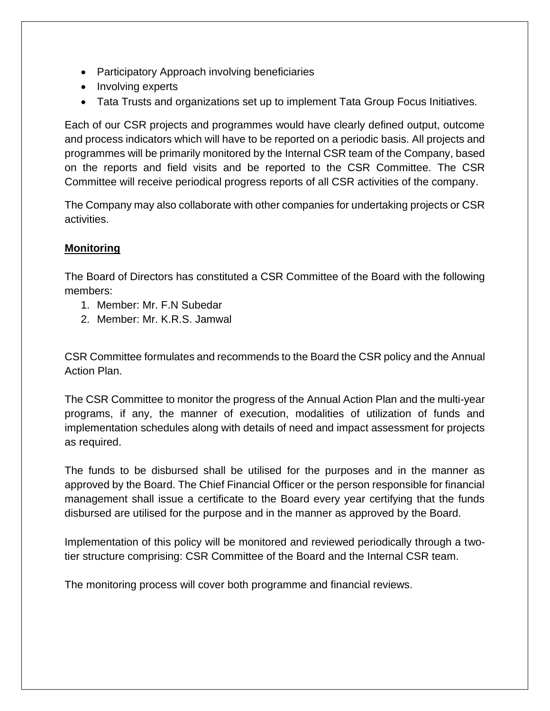- Participatory Approach involving beneficiaries
- Involving experts
- Tata Trusts and organizations set up to implement Tata Group Focus Initiatives.

Each of our CSR projects and programmes would have clearly defined output, outcome and process indicators which will have to be reported on a periodic basis. All projects and programmes will be primarily monitored by the Internal CSR team of the Company, based on the reports and field visits and be reported to the CSR Committee. The CSR Committee will receive periodical progress reports of all CSR activities of the company.

The Company may also collaborate with other companies for undertaking projects or CSR activities.

# **Monitoring**

The Board of Directors has constituted a CSR Committee of the Board with the following members:

- 1. Member: Mr. F.N Subedar
- 2. Member: Mr. K.R.S. Jamwal

CSR Committee formulates and recommends to the Board the CSR policy and the Annual Action Plan.

The CSR Committee to monitor the progress of the Annual Action Plan and the multi-year programs, if any, the manner of execution, modalities of utilization of funds and implementation schedules along with details of need and impact assessment for projects as required.

The funds to be disbursed shall be utilised for the purposes and in the manner as approved by the Board. The Chief Financial Officer or the person responsible for financial management shall issue a certificate to the Board every year certifying that the funds disbursed are utilised for the purpose and in the manner as approved by the Board.

Implementation of this policy will be monitored and reviewed periodically through a twotier structure comprising: CSR Committee of the Board and the Internal CSR team.

The monitoring process will cover both programme and financial reviews.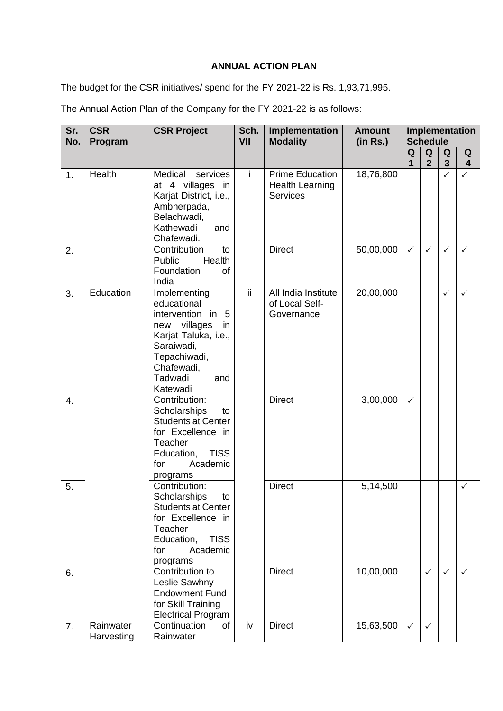#### **ANNUAL ACTION PLAN**

The budget for the CSR initiatives/ spend for the FY 2021-22 is Rs. 1,93,71,995.

The Annual Action Plan of the Company for the FY 2021-22 is as follows:

| Sr.<br>No. | <b>CSR</b><br>Program   | <b>CSR Project</b>                                                                                                                                                               | Sch.<br>VII | Implementation<br><b>Modality</b>                                   | <b>Amount</b><br>(in Rs.) | Implementation<br><b>Schedule</b> |                     |                     |                              |
|------------|-------------------------|----------------------------------------------------------------------------------------------------------------------------------------------------------------------------------|-------------|---------------------------------------------------------------------|---------------------------|-----------------------------------|---------------------|---------------------|------------------------------|
|            |                         |                                                                                                                                                                                  |             |                                                                     |                           | Q<br>1                            | Q<br>$\overline{2}$ | Q<br>$\overline{3}$ | Q<br>$\overline{\mathbf{4}}$ |
| 1.         | Health                  | Medical<br>services<br>at 4 villages<br>in<br>Karjat District, i.e.,<br>Ambherpada,<br>Belachwadi,<br>Kathewadi<br>and<br>Chafewadi.                                             | i           | <b>Prime Education</b><br><b>Health Learning</b><br><b>Services</b> | 18,76,800                 |                                   |                     | $\checkmark$        | $\checkmark$                 |
| 2.         |                         | Contribution<br>to<br>Public<br>Health<br>Foundation<br>0f<br>India                                                                                                              |             | <b>Direct</b>                                                       | 50,00,000                 | $\checkmark$                      | $\checkmark$        | $\checkmark$        | $\checkmark$                 |
| 3.         | Education               | Implementing<br>educational<br>intervention in<br>- 5<br>villages<br>new<br>in<br>Karjat Taluka, i.e.,<br>Saraiwadi,<br>Tepachiwadi,<br>Chafewadi,<br>Tadwadi<br>and<br>Katewadi | ii.         | All India Institute<br>of Local Self-<br>Governance                 | 20,00,000                 |                                   |                     | $\checkmark$        | $\checkmark$                 |
| 4.         |                         | Contribution:<br>Scholarships<br>to<br><b>Students at Center</b><br>for Excellence in<br>Teacher<br><b>TISS</b><br>Education,<br>Academic<br>for<br>programs                     |             | <b>Direct</b>                                                       | 3,00,000                  | $\checkmark$                      |                     |                     |                              |
| 5.         |                         | Contribution:<br>Scholarships<br>to<br><b>Students at Center</b><br>for Excellence in<br>Teacher<br><b>TISS</b><br>Education,<br>Academic<br>for<br>programs                     |             | <b>Direct</b>                                                       | 5,14,500                  |                                   |                     |                     | $\checkmark$                 |
| 6.         |                         | Contribution to<br>Leslie Sawhny<br><b>Endowment Fund</b><br>for Skill Training<br><b>Electrical Program</b>                                                                     |             | <b>Direct</b>                                                       | 10,00,000                 |                                   | $\checkmark$        | $\checkmark$        | $\checkmark$                 |
| 7.         | Rainwater<br>Harvesting | Continuation<br>of<br>Rainwater                                                                                                                                                  | iv          | <b>Direct</b>                                                       | 15,63,500                 | $\checkmark$                      | $\checkmark$        |                     |                              |